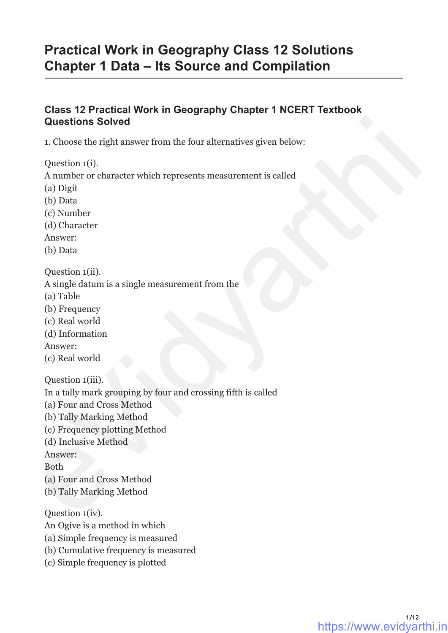# **Practical Work in Geography Class 12 Solutions Chapter 1 Data – Its Source and Compilation**

## **Class 12 Practical Work in Geography Chapter 1 NCERT Textbook Questions Solved**

1. Choose the right answer from the four alternatives given below:

Question 1(i). A number or character which represents measurement is called (a) Digit (b) Data (c) Number (d) Character Answer: (b) Data Question 1(ii). A single datum is a single measurement from the (a) Table (b) Frequency (c) Real world (d) Information Answer: (c) Real world Question 1(iii). In a tally mark grouping by four and crossing fifth is called (a) Four and Cross Method (b) Tally Marking Method (c) Frequency plotting Method (d) Inclusive Method Answer: Both (a) Four and Cross Method (b) Tally Marking Method Question 1(iv). An Ogive is a method in which (a) Simple frequency is measured (b) Cumulative frequency is measured **Questions Solved**<br>
1. Choose the right answer from the four alternatives given below:<br>
Question 1(i).<br>
Anumber or character which represents measurement is called<br>
(a) Digit<br>
(b) Data<br>
(b) Data<br>
(c) Number<br>
(d) Character<br>

(c) Simple frequency is plotted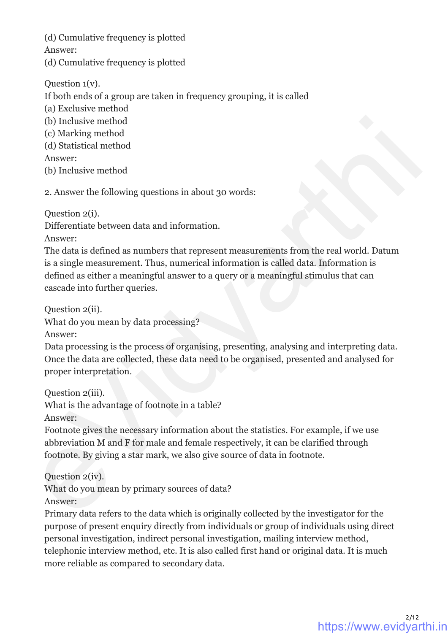(d) Cumulative frequency is plotted Answer: (d) Cumulative frequency is plotted

Question 1(v).

If both ends of a group are taken in frequency grouping, it is called

- (a) Exclusive method
- (b) Inclusive method
- (c) Marking method
- (d) Statistical method

Answer:

(b) Inclusive method

2. Answer the following questions in about 30 words:

Question 2(i).

Differentiate between data and information.

Answer:

The data is defined as numbers that represent measurements from the real world. Datum is a single measurement. Thus, numerical information is called data. Information is defined as either a meaningful answer to a query or a meaningful stimulus that can cascade into further queries. (b) Inclusive method<br>
(c) Marking method<br>
(d) Statistical method<br>
(d) Statistical method<br>
2. Answer:<br>
Albusive method<br>
2. Answer the following questions in about 30 words:<br>
Question 2(i).<br>
Almoc-<br>
The data is defined as n

Question 2(ii).

What do you mean by data processing?

Answer:

Data processing is the process of organising, presenting, analysing and interpreting data. Once the data are collected, these data need to be organised, presented and analysed for proper interpretation.

Question 2(iii).

What is the advantage of footnote in a table?

Answer:

Footnote gives the necessary information about the statistics. For example, if we use abbreviation M and F for male and female respectively, it can be clarified through footnote. By giving a star mark, we also give source of data in footnote.

Question 2(iv).

What do you mean by primary sources of data?

Answer:

Primary data refers to the data which is originally collected by the investigator for the purpose of present enquiry directly from individuals or group of individuals using direct personal investigation, indirect personal investigation, mailing interview method, telephonic interview method, etc. It is also called first hand or original data. It is much more reliable as compared to secondary data.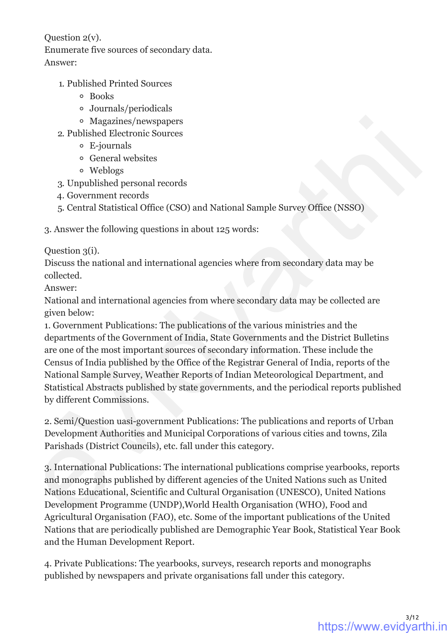Question 2(v).

Enumerate five sources of secondary data.

Answer:

- 1. Published Printed Sources
	- Books
	- Journals/periodicals
	- Magazines/newspapers
- 2. Published Electronic Sources
	- E-journals
	- General websites
	- Weblogs
- 3. Unpublished personal records
- 4. Government records
- 5. Central Statistical Office (CSO) and National Sample Survey Office (NSSO)

3. Answer the following questions in about 125 words:

Question 3(i).

Discuss the national and international agencies where from secondary data may be collected.

Answer:

National and international agencies from where secondary data may be collected are given below:

1. Government Publications: The publications of the various ministries and the departments of the Government of India, State Governments and the District Bulletins are one of the most important sources of secondary information. These include the Census of India published by the Office of the Registrar General of India, reports of the National Sample Survey, Weather Reports of Indian Meteorological Department, and Statistical Abstracts published by state governments, and the periodical reports published by different Commissions. s Magnines /newspapers<br>
2 Publisheld Electronic Sources<br>
2 Publisheld Pelectronic Sources<br>
6 Fe-journals<br>
6 Ceneral verbids<br>
2 Jumphisheld personal records<br>
4. Government records<br>
5. Central Statistical Office (CSO) and N

2. Semi/Question uasi-government Publications: The publications and reports of Urban Development Authorities and Municipal Corporations of various cities and towns, Zila Parishads (District Councils), etc. fall under this category.

3. International Publications: The international publications comprise yearbooks, reports and monographs published by different agencies of the United Nations such as United Nations Educational, Scientific and Cultural Organisation (UNESCO), United Nations Development Programme (UNDP),World Health Organisation (WHO), Food and Agricultural Organisation (FAO), etc. Some of the important publications of the United Nations that are periodically published are Demographic Year Book, Statistical Year Book and the Human Development Report.

4. Private Publications: The yearbooks, surveys, research reports and monographs published by newspapers and private organisations fall under this category.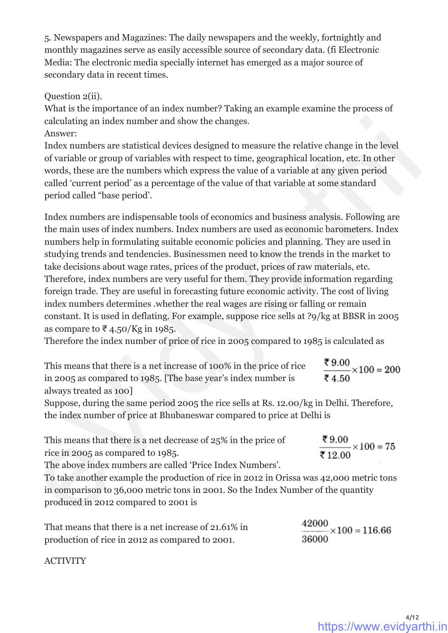5. Newspapers and Magazines: The daily newspapers and the weekly, fortnightly and monthly magazines serve as easily accessible source of secondary data. (fi Electronic Media: The electronic media specially internet has emerged as a major source of secondary data in recent times.

#### Question 2(ii).

What is the importance of an index number? Taking an example examine the process of calculating an index number and show the changes.

#### Answer:

Index numbers are statistical devices designed to measure the relative change in the level of variable or group of variables with respect to time, geographical location, etc. In other words, these are the numbers which express the value of a variable at any given period called 'current period' as a percentage of the value of that variable at some standard period called "base period'.

Index numbers are indispensable tools of economics and business analysis. Following are the main uses of index numbers. Index numbers are used as economic barometers. Index numbers help in formulating suitable economic policies and planning. They are used in studying trends and tendencies. Businessmen need to know the trends in the market to take decisions about wage rates, prices of the product, prices of raw materials, etc. Therefore, index numbers are very useful for them. They provide information regarding foreign trade. They are useful in forecasting future economic activity. The cost of living index numbers determines .whether the real wages are rising or falling or remain constant. It is used in deflating. For example, suppose rice sells at ?9/kg at BBSR in 2005 as compare to ₹4.50/Kg in 1985. calculating an index number and show the changes.<br>
Ancelutating an index number are statistical deviess designed to measure the relative change in the level<br>
Index numbers are statistical deviese statistical cories, geogr

Therefore the index number of price of rice in 2005 compared to 1985 is calculated as

| This means that there is a net increase of 100% in the price of rice | ₹9.00<br>$\frac{13.00}{2} \times 100 = 200$ |
|----------------------------------------------------------------------|---------------------------------------------|
| in 2005 as compared to 1985. The base year's index number is         | ₹4.50                                       |
| always treated as 100                                                |                                             |

Suppose, during the same period 2005 the rice sells at Rs. 12.00/kg in Delhi. Therefore, the index number of price at Bhubaneswar compared to price at Delhi is

| This means that there is a net decrease of 25% in the price of | ₹9.00<br>$\frac{1}{\sqrt{1-\frac{1}{2}}}\times1$ |
|----------------------------------------------------------------|--------------------------------------------------|
| rice in 2005 as compared to 1985.                              | ₹12.00                                           |

The above index numbers are called 'Price Index Numbers'.

To take another example the production of rice in 2012 in Orissa was 42,000 metric tons in comparison to 36,000 metric tons in 2001. So the Index Number of the quantity produced in 2012 compared to 2001 is

| That means that there is a net increase of 21.61% in | 42000<br>$\frac{42000}{100} \times 100 = 116.66$ |
|------------------------------------------------------|--------------------------------------------------|
| production of rice in 2012 as compared to 2001.      | 36000                                            |

ACTIVITY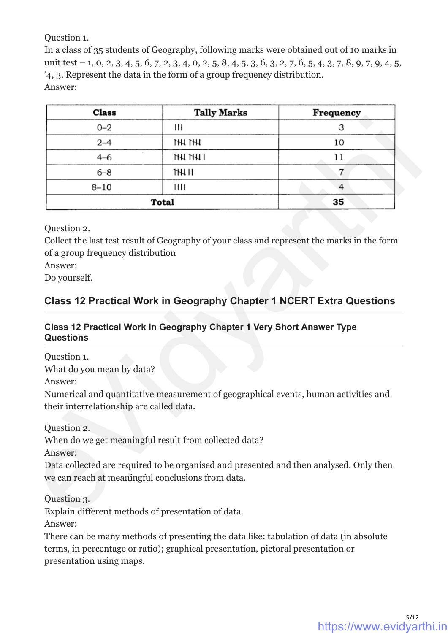Question 1.

In a class of 35 students of Geography, following marks were obtained out of 10 marks in unit test - 1, 0, 2, 3, 4, 5, 6, 7, 2, 3, 4, 0, 2, 5, 8, 4, 5, 3, 6, 3, 2, 7, 6, 5, 4, 3, 7, 8, 9, 7, 9, 4, 5, '4, 3. Represent the data in the form of a group frequency distribution. Answer:

| <b>Class</b>                                                 | <b>Tally Marks</b>                                                                                                                          | Frequency |
|--------------------------------------------------------------|---------------------------------------------------------------------------------------------------------------------------------------------|-----------|
| $0 - 2$                                                      | Ш                                                                                                                                           | 3         |
| $2 - 4$                                                      | thi ihi                                                                                                                                     | 10        |
| $4 - 6$                                                      | IHI IHI I                                                                                                                                   | 11        |
| $6 - 8$                                                      | JH1 II                                                                                                                                      | 7         |
| $8 - 10$                                                     | Ш                                                                                                                                           | 4         |
|                                                              | Total                                                                                                                                       | 35        |
| Answer:<br>Do yourself.                                      |                                                                                                                                             |           |
|                                                              | <b>Class 12 Practical Work in Geography Chapter 1 NCERT Extra Questions</b>                                                                 |           |
|                                                              | Class 12 Practical Work in Geography Chapter 1 Very Short Answer Type                                                                       |           |
| <b>Questions</b><br>Question 1.<br>What do you mean by data? |                                                                                                                                             |           |
| Answer:<br>their interrelationship are called data.          | Numerical and quantitative measurement of geographical events, human activities and                                                         |           |
|                                                              |                                                                                                                                             |           |
|                                                              | When do we get meaningful result from collected data?                                                                                       |           |
|                                                              | Data collected are required to be organised and presented and then analysed. Only then<br>we can reach at meaningful conclusions from data. |           |
| Question 2.<br>Answer:<br>Question 3.                        |                                                                                                                                             |           |

## **Class 12 Practical Work in Geography Chapter 1 NCERT Extra Questions**

#### **Class 12 Practical Work in Geography Chapter 1 Very Short Answer Type Questions**

Answer:

There can be many methods of presenting the data like: tabulation of data (in absolute terms, in percentage or ratio); graphical presentation, pictoral presentation or presentation using maps.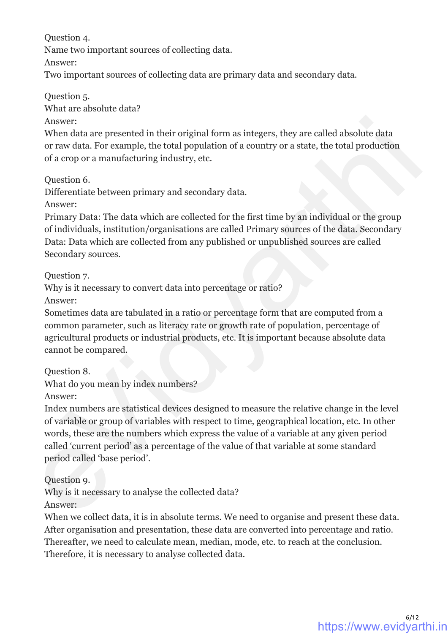Question 4.

Name two important sources of collecting data.

Answer:

Two important sources of collecting data are primary data and secondary data.

Question 5.

What are absolute data?

Answer:

When data are presented in their original form as integers, they are called absolute data or raw data. For example, the total population of a country or a state, the total production of a crop or a manufacturing industry, etc.

Question 6.

Differentiate between primary and secondary data.

Answer:

Primary Data: The data which are collected for the first time by an individual or the group of individuals, institution/organisations are called Primary sources of the data. Secondary Data: Data which are collected from any published or unpublished sources are called Secondary sources.

Question 7.

Why is it necessary to convert data into percentage or ratio? Answer:

Sometimes data are tabulated in a ratio or percentage form that are computed from a common parameter, such as literacy rate or growth rate of population, percentage of agricultural products or industrial products, etc. It is important because absolute data cannot be compared.

Question 8.

What do you mean by index numbers?

Answer:

Index numbers are statistical devices designed to measure the relative change in the level of variable or group of variables with respect to time, geographical location, etc. In other words, these are the numbers which express the value of a variable at any given period called 'current period' as a percentage of the value of that variable at some standard period called 'base period'. Amsver:<br>
Amsver<br>
Mem data are presented in their original form as integers, they are called absolute data<br>
or raw data. For example, the total population of a country or a state, the total production<br>
of a crop or a manufa

Question 9.

Why is it necessary to analyse the collected data?

Answer:

When we collect data, it is in absolute terms. We need to organise and present these data. After organisation and presentation, these data are converted into percentage and ratio. Thereafter, we need to calculate mean, median, mode, etc. to reach at the conclusion. Therefore, it is necessary to analyse collected data.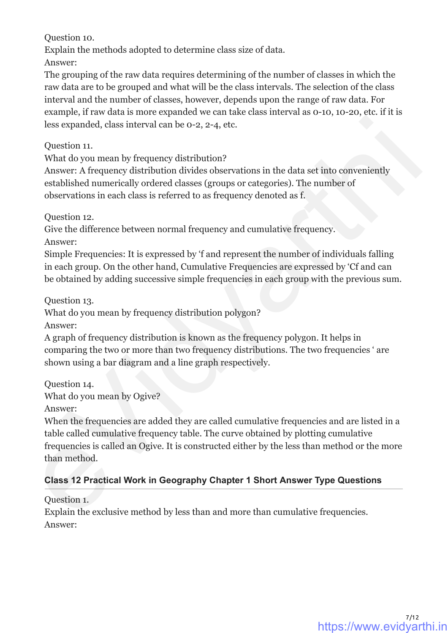Question 10.

Explain the methods adopted to determine class size of data.

Answer:

The grouping of the raw data requires determining of the number of classes in which the raw data are to be grouped and what will be the class intervals. The selection of the class interval and the number of classes, however, depends upon the range of raw data. For example, if raw data is more expanded we can take class interval as 0-10, 10-20, etc. if it is less expanded, class interval can be 0-2, 2-4, etc.

Question 11.

What do you mean by frequency distribution?

Answer: A frequency distribution divides observations in the data set into conveniently established numerically ordered classes (groups or categories). The number of observations in each class is referred to as frequency denoted as f.

Question 12.

Give the difference between normal frequency and cumulative frequency.

Answer:

Simple Frequencies: It is expressed by 'f and represent the number of individuals falling in each group. On the other hand, Cumulative Frequencies are expressed by 'Cf and can be obtained by adding successive simple frequencies in each group with the previous sum.

Question 13.

What do you mean by frequency distribution polygon?

Answer:

A graph of frequency distribution is known as the frequency polygon. It helps in comparing the two or more than two frequency distributions. The two frequencies ' are shown using a bar diagram and a line graph respectively.

Question 14.

What do you mean by Ogive?

Answer:

When the frequencies are added they are called cumulative frequencies and are listed in a table called cumulative frequency table. The curve obtained by plotting cumulative frequencies is called an Ogive. It is constructed either by the less than method or the more than method. less expanded, class interval can be o-2, 2-4, etc.<br>
Question 11.<br>
What do you mean by frequency distribution?<br>
What As yet allows are actively distribution divides observations in the data set into conveniently<br>
establis

## **Class 12 Practical Work in Geography Chapter 1 Short Answer Type Questions**

Question 1.

Explain the exclusive method by less than and more than cumulative frequencies. Answer: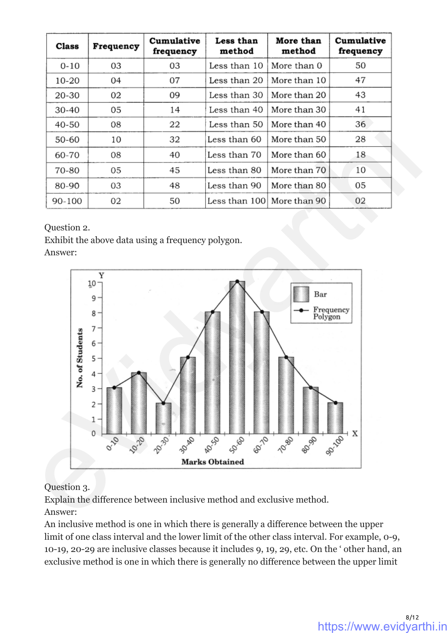| <b>Class</b> | Frequency | Cumulative<br>frequency | Less than<br>method | More than<br>method         | Cumulative<br>frequency |
|--------------|-----------|-------------------------|---------------------|-----------------------------|-------------------------|
| $0 - 10$     | 03        | 03                      | Less than 10        | More than 0                 | 50                      |
| 10-20        | 04        | 07                      | Less than 20        | More than 10                | 47                      |
| 20-30        | 02        | 09                      | Less than 30        | More than 20                | 43                      |
| 30-40        | 05        | 14                      | Less than 40        | More than 30                | 41                      |
| 40-50        | 08        | 22                      | Less than 50        | More than 40                | 36                      |
| 50-60        | 10        | 32                      | Less than 60        | More than 50                | 28                      |
| 60-70        | 08        | 40                      | Less than 70        | More than 60                | 18                      |
| 70-80        | 05        | 45                      | Less than 80        | More than 70                | 10                      |
| 80-90        | 03        | 48                      | Less than 90        | More than 80                | 05                      |
| 90-100       | 02        | 50                      |                     | Less than 100  More than 90 | 02                      |

Question 2.

Exhibit the above data using a frequency polygon.

Answer:



Question 3.

Explain the difference between inclusive method and exclusive method. Answer:

An inclusive method is one in which there is generally a difference between the upper limit of one class interval and the lower limit of the other class interval. For example, 0-9, 10-19, 20-29 are inclusive classes because it includes 9, 19, 29, etc. On the ' other hand, an exclusive method is one in which there is generally no difference between the upper limit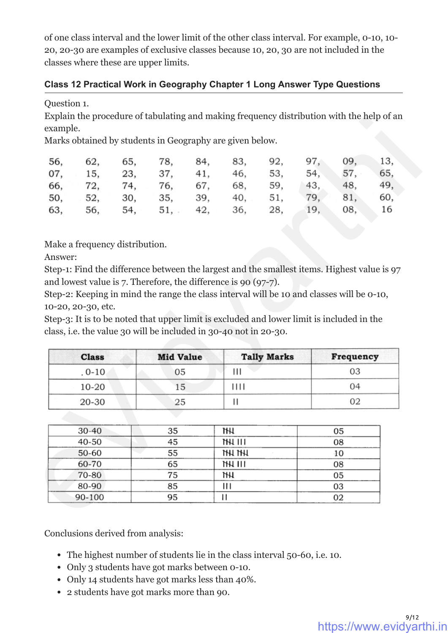of one class interval and the lower limit of the other class interval. For example, 0-10, 10- 20, 20-30 are examples of exclusive classes because 10, 20, 30 are not included in the classes where these are upper limits.

#### **Class 12 Practical Work in Geography Chapter 1 Long Answer Type Questions**

#### Question 1.

Explain the procedure of tabulating and making frequency distribution with the help of an example.

|  |  |  | 56, 62, 65, 78, 84, 83, 92, 97, 09, 13, |  |
|--|--|--|-----------------------------------------|--|
|  |  |  | 07, 15, 23, 37, 41, 46, 53, 54, 57, 65, |  |
|  |  |  | 66, 72, 74, 76, 67, 68, 59, 43, 48, 49, |  |
|  |  |  | 50, 52, 30, 35, 39, 40, 51, 79, 81, 60, |  |
|  |  |  | 63, 56, 54, 51, 42, 36, 28, 19, 08, 16  |  |

| <b>Class</b> | <b>Mid Value</b> | <b>Tally Marks</b> | Frequency |
|--------------|------------------|--------------------|-----------|
| $.0 - 10$    | 05               | Ш                  | 03        |
| 10-20        | 15               | 11 I I             | 04        |
| 20-30        | 25               |                    |           |

|         |                    | Marks obtained by students in Geography are given below. |                                                                                                                                                                  |     |                                                                                           |                    |     |           |     |
|---------|--------------------|----------------------------------------------------------|------------------------------------------------------------------------------------------------------------------------------------------------------------------|-----|-------------------------------------------------------------------------------------------|--------------------|-----|-----------|-----|
| 56,     | 62,                | 65,                                                      | 78,                                                                                                                                                              | 84, | 83,                                                                                       | 92,                | 97, | 09,       | 13, |
| 07,     | 15,                | 23,                                                      | 37, 41,                                                                                                                                                          |     | 46,                                                                                       | 53,                | 54, | 57,       | 65, |
|         |                    |                                                          | 66, 72, 74, 76, 67, 68, 59,                                                                                                                                      |     |                                                                                           |                    | 43, | 48,       | 49, |
|         |                    |                                                          | 50, 52, 30, 35, 39, 40,                                                                                                                                          |     |                                                                                           | 51,                | 79, | 81,       | 60, |
| 63,     | 56,                |                                                          | 54, 51, 42,                                                                                                                                                      |     | 36,                                                                                       | 28,                | 19, | 08,       | 16  |
| Answer: |                    |                                                          | Step-1: Find the difference between the largest and the smallest items. Highest value is 97<br>and lowest value is $7$ . Therefore, the difference is 90 (97-7). |     |                                                                                           |                    |     |           |     |
|         | 10-20, 20-30, etc. |                                                          | Step-3: It is to be noted that upper limit is excluded and lower limit is included in the<br>class, i.e. the value 30 will be included in 30-40 not in 20-30.    |     | Step-2: Keeping in mind the range the class interval will be 10 and classes will be 0-10, |                    |     |           |     |
|         | <b>Class</b>       |                                                          | <b>Mid Value</b>                                                                                                                                                 |     |                                                                                           | <b>Tally Marks</b> |     | Frequency |     |
|         | $.0 - 10$          |                                                          | 05                                                                                                                                                               |     | Ш                                                                                         |                    |     | 03        |     |
|         | 10-20              |                                                          | 15                                                                                                                                                               |     | 1111                                                                                      |                    |     | 04        |     |
|         | 20-30              |                                                          | 25                                                                                                                                                               |     | Ш                                                                                         |                    |     | 02        |     |
|         |                    |                                                          |                                                                                                                                                                  |     |                                                                                           |                    |     |           |     |
|         | 30-40              |                                                          | 35                                                                                                                                                               |     | Ш                                                                                         |                    |     | 05        |     |
|         | 40-50              |                                                          | 45                                                                                                                                                               |     | 1HJ 111                                                                                   |                    |     | 08        |     |
|         | 50-60              |                                                          | 55                                                                                                                                                               |     | <b>THI THI</b>                                                                            |                    |     | $10\,$    |     |
|         | 60-70              |                                                          | 65                                                                                                                                                               |     | 111 JH                                                                                    |                    |     | 08        |     |
|         | 70-80              |                                                          | 75                                                                                                                                                               |     | hН                                                                                        |                    |     | 05        |     |
|         | 80-90<br>90-100    |                                                          | 85<br>95                                                                                                                                                         |     | Ш<br>П                                                                                    |                    |     | 03        |     |

Conclusions derived from analysis:

- The highest number of students lie in the class interval 50-60, i.e. 10.
- Only 3 students have got marks between 0-10.
- Only 14 students have got marks less than 40%.
- 2 students have got marks more than 90.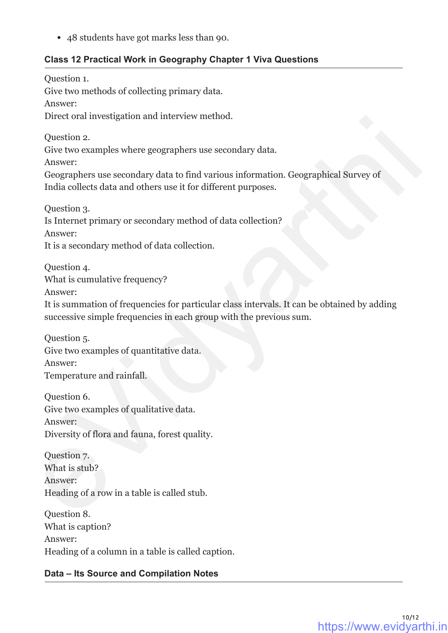48 students have got marks less than 90.

#### **Class 12 Practical Work in Geography Chapter 1 Viva Questions**

Question 1.

Give two methods of collecting primary data.

Answer:

Direct oral investigation and interview method.

Question 2.

Give two examples where geographers use secondary data.

Answer:

Geographers use secondary data to find various information. Geographical Survey of India collects data and others use it for different purposes.

Question 3.

Is Internet primary or secondary method of data collection? Answer:

It is a secondary method of data collection.

Question 4. What is cumulative frequency?

Answer:

It is summation of frequencies for particular class intervals. It can be obtained by adding successive simple frequencies in each group with the previous sum. Dreed oran investigation and interview method.<br>
Cive two examples where geographers use secondary data.<br>
Answer:<br>
Cive two examples use secondary data to find various information. Geographical Survey of<br>
India collects dat

Question 5. Give two examples of quantitative data. Answer: Temperature and rainfall.

Question 6. Give two examples of qualitative data. Answer: Diversity of flora and fauna, forest quality.

Question 7. What is stub? Answer: Heading of a row in a table is called stub.

Question 8. What is caption? Answer: Heading of a column in a table is called caption.

## **Data – Its Source and Compilation Notes**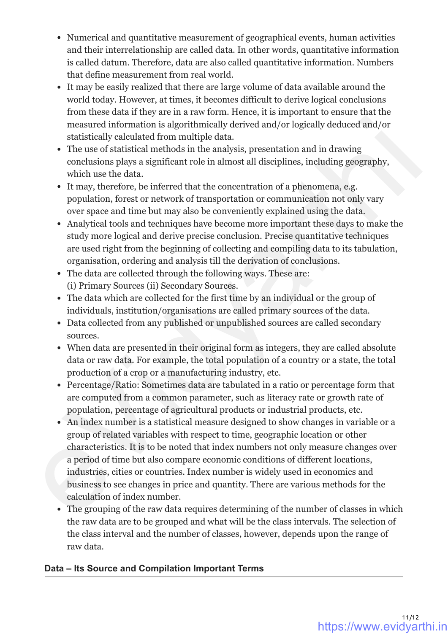- Numerical and quantitative measurement of geographical events, human activities and their interrelationship are called data. In other words, quantitative information is called datum. Therefore, data are also called quantitative information. Numbers that define measurement from real world.
- It may be easily realized that there are large volume of data available around the world today. However, at times, it becomes difficult to derive logical conclusions from these data if they are in a raw form. Hence, it is important to ensure that the measured information is algorithmically derived and/or logically deduced and/or statistically calculated from multiple data.
- The use of statistical methods in the analysis, presentation and in drawing conclusions plays a significant role in almost all disciplines, including geography, which use the data.
- It may, therefore, be inferred that the concentration of a phenomena, e.g. population, forest or network of transportation or communication not only vary over space and time but may also be conveniently explained using the data.
- Analytical tools and techniques have become more important these days to make the study more logical and derive precise conclusion. Precise quantitative techniques are used right from the beginning of collecting and compiling data to its tabulation, organisation, ordering and analysis till the derivation of conclusions.
- The data are collected through the following ways. These are: (i) Primary Sources (ii) Secondary Sources.
- The data which are collected for the first time by an individual or the group of individuals, institution/organisations are called primary sources of the data.
- Data collected from any published or unpublished sources are called secondary sources.
- When data are presented in their original form as integers, they are called absolute data or raw data. For example, the total population of a country or a state, the total production of a crop or a manufacturing industry, etc.
- Percentage/Ratio: Sometimes data are tabulated in a ratio or percentage form that are computed from a common parameter, such as literacy rate or growth rate of population, percentage of agricultural products or industrial products, etc.
- An index number is a statistical measure designed to show changes in variable or a group of related variables with respect to time, geographic location or other characteristics. It is to be noted that index numbers not only measure changes over a period of time but also compare economic conditions of different locations, industries, cities or countries. Index number is widely used in economics and business to see changes in price and quantity. There are various methods for the calculation of index number. measured information is algorithmically derived and/or logically deduced and/or statistically calculated from multiple data.<br>
The use of statistical methods in the unalysis, presentation and in drawing<br>
cordisions plays a
	- The grouping of the raw data requires determining of the number of classes in which the raw data are to be grouped and what will be the class intervals. The selection of the class interval and the number of classes, however, depends upon the range of raw data.

## **Data – Its Source and Compilation Important Terms**